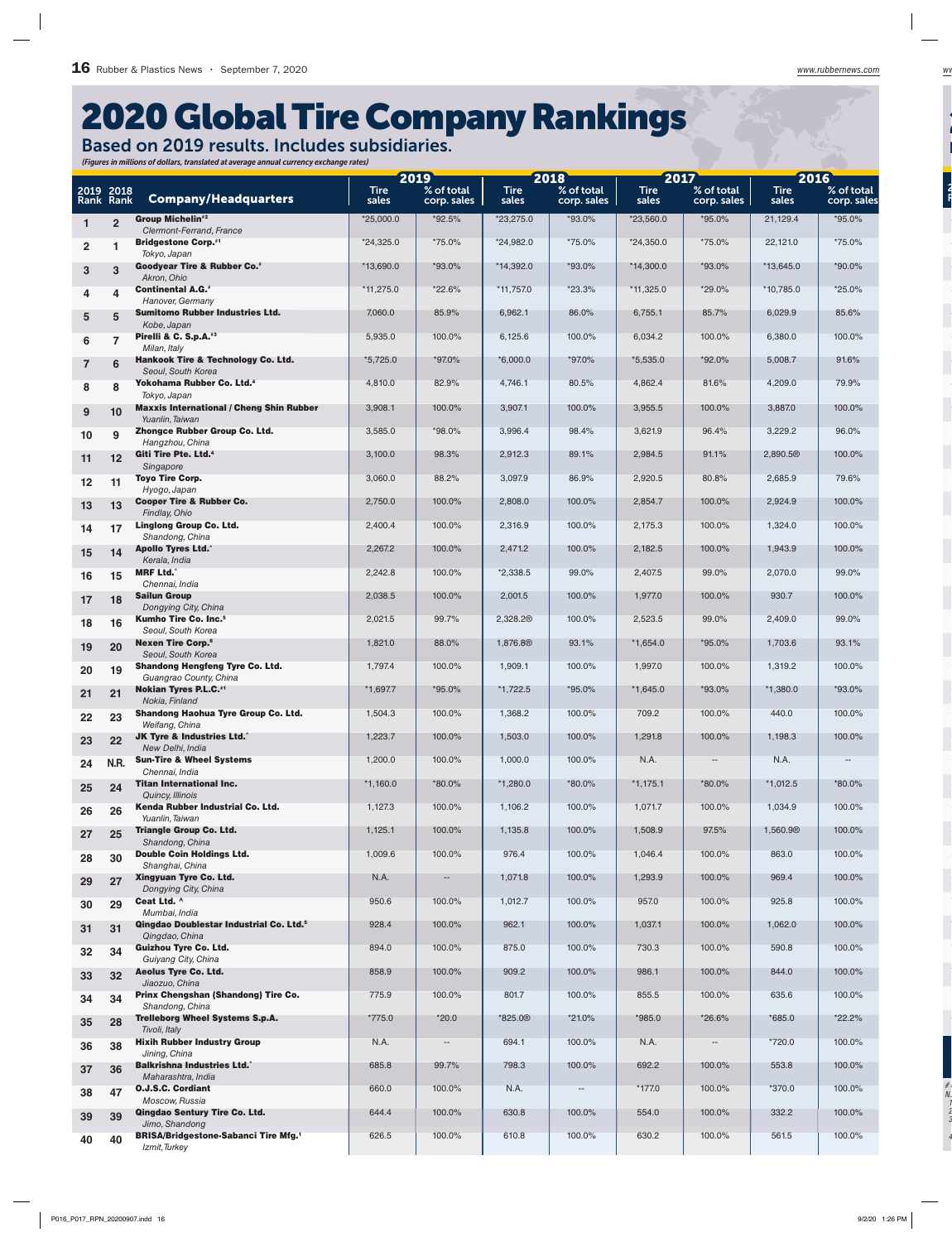## 2020 Global Tire Company Rankings

Based on 2019 results. Includes subsidiaries. *(Figures in millions of dollars, translated at average annual currency exchange rates)*

|                        |                 |                                                                       | 2019                 |                           | 2018                 |                           | 2017                 |                           | 2016                 |                           |
|------------------------|-----------------|-----------------------------------------------------------------------|----------------------|---------------------------|----------------------|---------------------------|----------------------|---------------------------|----------------------|---------------------------|
| 2019 2018<br>Rank Rank |                 | <b>Company/Headquarters</b>                                           | <b>Tire</b><br>sales | % of total<br>corp. sales | <b>Tire</b><br>sales | % of total<br>corp. sales | <b>Tire</b><br>sales | % of total<br>corp. sales | <b>Tire</b><br>sales | % of total<br>corp. sales |
|                        | $\overline{2}$  | <b>Group Michelin#2</b><br>Clermont-Ferrand, France                   | $*25,000.0$          | $*92.5\%$                 | $*23,275.0$          | *93.0%                    | *23,560.0            | *95.0%                    | 21,129.4             | $*95.0\%$                 |
| $\overline{2}$         |                 | <b>Bridgestone Corp.</b> #1                                           | $*24,325.0$          | *75.0%                    | *24,982.0            | *75.0%                    | $*24,350.0$          | *75.0%                    | 22,121.0             | *75.0%                    |
| $\mathbf{3}$           | 3               | Tokyo, Japan<br><b>Goodyear Tire &amp; Rubber Co.</b> *               | $*13,690.0$          | $*93.0\%$                 | *14,392.0            | *93.0%                    | $*14,300.0$          | *93.0%                    | $*13,645.0$          | $*90.0\%$                 |
| 4                      | 4               | Akron, Ohio<br><b>Continental A.G.*</b>                               | $*11,275.0$          | *22.6%                    | *11,757.0            | $*23.3%$                  | $*11,325.0$          | *29.0%                    | *10,785.0            | *25.0%                    |
|                        |                 | Hanover, Germany<br><b>Sumitomo Rubber Industries Ltd.</b>            | 7,060.0              | 85.9%                     | 6,962.1              | 86.0%                     | 6,755.1              | 85.7%                     | 6,029.9              | 85.6%                     |
| 5                      | 5               | Kobe, Japan<br>Pirelli & C. S.p.A. <sup>#3</sup>                      | 5,935.0              | 100.0%                    | 6,125.6              | 100.0%                    | 6,034.2              | 100.0%                    | 6,380.0              | 100.0%                    |
| 6                      | $\overline{7}$  | Milan, Italy                                                          |                      |                           |                      |                           |                      |                           |                      |                           |
| $\overline{7}$         | 6               | <b>Hankook Tire &amp; Technology Co. Ltd.</b><br>Seoul, South Korea   | *5,725.0             | *97.0%                    | *6,000.0             | *97.0%                    | *5,535.0             | *92.0%                    | 5,008.7              | 91.6%                     |
| 8                      | 8               | Yokohama Rubber Co. Ltd. <sup>4</sup><br>Tokyo, Japan                 | 4,810.0              | 82.9%                     | 4,746.1              | 80.5%                     | 4,862.4              | 81.6%                     | 4,209.0              | 79.9%                     |
| 9                      | 10              | <b>Maxxis International / Cheng Shin Rubber</b><br>Yuanlin, Taiwan    | 3,908.1              | 100.0%                    | 3,907.1              | 100.0%                    | 3,955.5              | 100.0%                    | 3,887.0              | 100.0%                    |
| 10                     | 9               | Zhongce Rubber Group Co. Ltd.<br>Hangzhou, China                      | 3,585.0              | $*98.0\%$                 | 3,996.4              | 98.4%                     | 3,621.9              | 96.4%                     | 3,229.2              | 96.0%                     |
| 11                     | 12              | Giti Tire Pte. Ltd. <sup>4</sup><br>Singapore                         | 3,100.0              | 98.3%                     | 2,912.3              | 89.1%                     | 2,984.5              | 91.1%                     | 2,890.5 <sup>®</sup> | 100.0%                    |
| 12                     | 11              | <b>Toyo Tire Corp.</b>                                                | 3,060.0              | 88.2%                     | 3,097.9              | 86.9%                     | 2,920.5              | 80.8%                     | 2,685.9              | 79.6%                     |
| 13                     | 13              | Hyogo, Japan<br><b>Cooper Tire &amp; Rubber Co.</b>                   | 2,750.0              | 100.0%                    | 2,808.0              | 100.0%                    | 2,854.7              | 100.0%                    | 2,924.9              | 100.0%                    |
| 14                     | 17              | Findlay, Ohio<br><b>Linglong Group Co. Ltd.</b>                       | 2,400.4              | 100.0%                    | 2,316.9              | 100.0%                    | 2,175.3              | 100.0%                    | 1,324.0              | 100.0%                    |
| 15                     | 14              | Shandong, China<br><b>Apollo Tyres Ltd.</b> ^                         | 2,267.2              | 100.0%                    | 2,471.2              | 100.0%                    | 2,182.5              | 100.0%                    | 1,943.9              | 100.0%                    |
|                        |                 | Kerala, India<br><b>MRF Ltd.</b> <sup>*</sup>                         | 2,242.8              | 100.0%                    | $*2,338.5$           | 99.0%                     | 2,407.5              | 99.0%                     | 2,070.0              | 99.0%                     |
| 16                     | 15              | Chennai, India<br><b>Sailun Group</b>                                 | 2,038.5              | 100.0%                    | 2,001.5              | 100.0%                    | 1,977.0              | 100.0%                    | 930.7                | 100.0%                    |
| 17                     | 18              | Dongying City, China                                                  |                      |                           |                      |                           |                      |                           |                      |                           |
| 18                     | 16              | <b>Kumho Tire Co. Inc.<sup>5</sup></b><br>Seoul, South Korea          | 2,021.5              | 99.7%                     | 2,328.2 <sup>®</sup> | 100.0%                    | 2,523.5              | 99.0%                     | 2,409.0              | 99.0%                     |
| 19                     | 20              | <b>Nexen Tire Corp.</b> <sup>6</sup><br>Seoul, South Korea            | 1,821.0              | 88.0%                     | 1,876.8 <sup>®</sup> | 93.1%                     | $*1,654.0$           | *95.0%                    | 1,703.6              | 93.1%                     |
| 20                     | 19              | <b>Shandong Hengfeng Tyre Co. Ltd.</b><br>Guangrao County, China      | 1,797.4              | 100.0%                    | 1,909.1              | 100.0%                    | 1,997.0              | 100.0%                    | 1,319.2              | 100.0%                    |
| 21                     | 21              | <b>Nokian Tyres P.L.C.</b> *1<br>Nokia, Finland                       | $*1,697.7$           | $*95.0\%$                 | $*1,722.5$           | *95.0%                    | $*1,645.0$           | $*93.0\%$                 | $*1,380.0$           | *93.0%                    |
| 22                     | 23              | <b>Shandong Haohua Tyre Group Co. Ltd.</b><br>Weifang, China          | 1,504.3              | 100.0%                    | 1,368.2              | 100.0%                    | 709.2                | 100.0%                    | 440.0                | 100.0%                    |
| 23                     | 22              | <b>JK Tyre &amp; Industries Ltd.</b>                                  | 1,223.7              | 100.0%                    | 1,503.0              | 100.0%                    | 1,291.8              | 100.0%                    | 1,198.3              | 100.0%                    |
| 24                     | <b>N.R.</b>     | New Delhi, India<br><b>Sun-Tire &amp; Wheel Systems</b>               | 1,200.0              | 100.0%                    | 1,000.0              | 100.0%                    | N.A.                 |                           | N.A.                 |                           |
| 25                     | 24              | Chennai, India<br><b>Titan International Inc.</b>                     | $*1,160.0$           | *80.0%                    | $*1,280.0$           | *80.0%                    | $*1,175.1$           | *80.0%                    | $*1,012.5$           | *80.0%                    |
| 26                     | 26              | Quincy, Illinois<br>Kenda Rubber Industrial Co. Ltd.                  | 1,127.3              | 100.0%                    | 1,106.2              | 100.0%                    | 1,071.7              | 100.0%                    | 1,034.9              | 100.0%                    |
| 27                     | 25              | Yuanlin, Taiwan<br><b>Triangle Group Co. Ltd.</b>                     | 1,125.1              | 100.0%                    | 1,135.8              | 100.0%                    | 1,508.9              | 97.5%                     | 1,560.9 <sup>®</sup> | 100.0%                    |
|                        |                 | Shandong, China<br><b>Double Coin Holdings Ltd.</b>                   | 1,009.6              | 100.0%                    | 976.4                | 100.0%                    | 1,046.4              | 100.0%                    | 863.0                | 100.0%                    |
| 28                     | 30              | Shanghai, China<br>Xingyuan Tyre Co. Ltd.                             | N.A.                 |                           | 1,071.8              | 100.0%                    | 1,293.9              | 100.0%                    | 969.4                | 100.0%                    |
| 29                     | 27              | Dongying City, China<br>Ceat Ltd. ^                                   |                      |                           |                      |                           |                      |                           |                      |                           |
| 30                     | 29              | Mumbai, India                                                         | 950.6                | 100.0%                    | 1,012.7              | 100.0%                    | 957.0                | 100.0%                    | 925.8                | 100.0%                    |
| 31                     | 31              | Qingdao Doublestar Industrial Co. Ltd. <sup>5</sup><br>Qingdao, China | 928.4                | 100.0%                    | 962.1                | 100.0%                    | 1,037.1              | 100.0%                    | 1,062.0              | 100.0%                    |
| 32                     | 34              | <b>Guizhou Tyre Co. Ltd.</b><br>Guiyang City, China                   | 894.0                | 100.0%                    | 875.0                | 100.0%                    | 730.3                | 100.0%                    | 590.8                | 100.0%                    |
| 33                     | 32 <sub>2</sub> | <b>Aeolus Tyre Co. Ltd.</b><br>Jiaozuo, China                         | 858.9                | 100.0%                    | 909.2                | 100.0%                    | 986.1                | 100.0%                    | 844.0                | 100.0%                    |
| 34                     | 34              | Prinx Chengshan (Shandong) Tire Co.<br>Shandong, China                | 775.9                | 100.0%                    | 801.7                | 100.0%                    | 855.5                | 100.0%                    | 635.6                | 100.0%                    |
| 35                     | 28              | <b>Trelleborg Wheel Systems S.p.A.</b><br>Tivoli, Italy               | $*775.0$             | $*20.0$                   | *825.0 <sup>®</sup>  | $*21.0\%$                 | $*985.0$             | *26.6%                    | $*685.0$             | *22.2%                    |
| 36                     | 38              | <b>Hixih Rubber Industry Group</b>                                    | N.A.                 | $\overline{\phantom{a}}$  | 694.1                | 100.0%                    | N.A.                 | $\overline{\phantom{a}}$  | $*720.0$             | 100.0%                    |
| 37                     | 36              | Jining, China<br><b>Balkrishna Industries Ltd.</b> ^                  | 685.8                | 99.7%                     | 798.3                | 100.0%                    | 692.2                | 100.0%                    | 553.8                | 100.0%                    |
| 38                     | 47              | Maharashtra, India<br><b>O.J.S.C. Cordiant</b>                        | 660.0                | 100.0%                    | N.A.                 | $\overline{\phantom{a}}$  | $*177.0$             | 100.0%                    | *370.0               | 100.0%                    |
| 39                     | 39              | Moscow, Russia<br>Qingdao Sentury Tire Co. Ltd.                       | 644.4                | 100.0%                    | 630.8                | 100.0%                    | 554.0                | 100.0%                    | 332.2                | 100.0%                    |
|                        |                 | Jimo, Shandong<br><b>BRISA/Bridgestone-Sabanci Tire Mfg.1</b>         | 626.5                | 100.0%                    | 610.8                | 100.0%                    | 630.2                | 100.0%                    | 561.5                | 100.0%                    |
| 40                     | 40              | Izmit, Turkey                                                         |                      |                           |                      |                           |                      |                           |                      |                           |